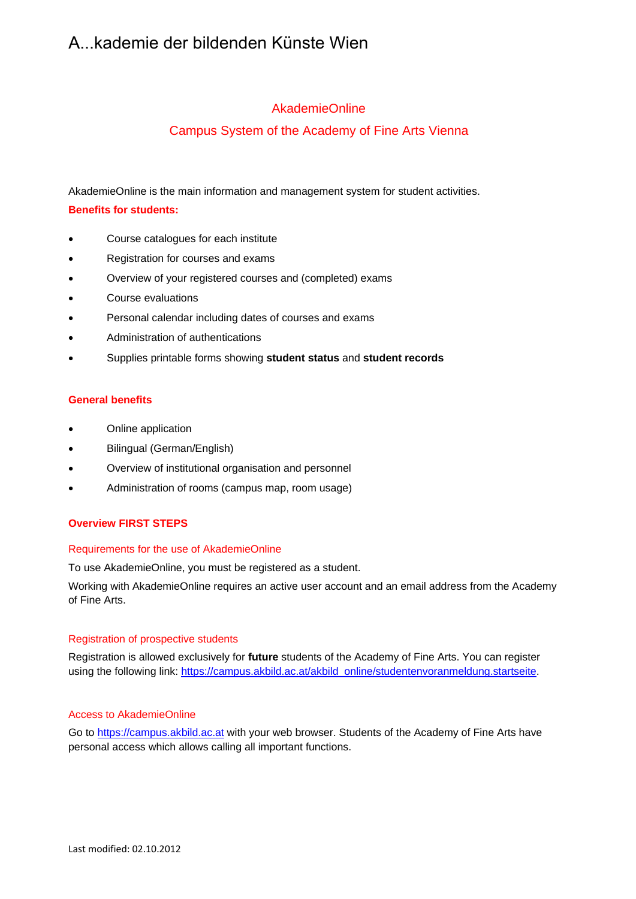# A...kademie der bildenden Künste Wien

## AkademieOnline

# Campus System of the Academy of Fine Arts Vienna

AkademieOnline is the main information and management system for student activities.

## **Benefits for students:**

- Course catalogues for each institute
- Registration for courses and exams
- Overview of your registered courses and (completed) exams
- Course evaluations
- Personal calendar including dates of courses and exams
- Administration of authentications
- Supplies printable forms showing **student status** and **student records**

### **General benefits**

- Online application
- Bilingual (German/English)
- Overview of institutional organisation and personnel
- Administration of rooms (campus map, room usage)

### **Overview FIRST STEPS**

### Requirements for the use of AkademieOnline

To use AkademieOnline, you must be registered as a student.

Working with AkademieOnline requires an active user account and an email address from the Academy of Fine Arts.

### Registration of prospective students

Registration is allowed exclusively for **future** students of the Academy of Fine Arts. You can register using the following link: https://campus.akbild.ac.at/akbild\_online/studentenvoranmeldung.startseite.

### Access to AkademieOnline

Go to https://campus.akbild.ac.at with your web browser. Students of the Academy of Fine Arts have personal access which allows calling all important functions.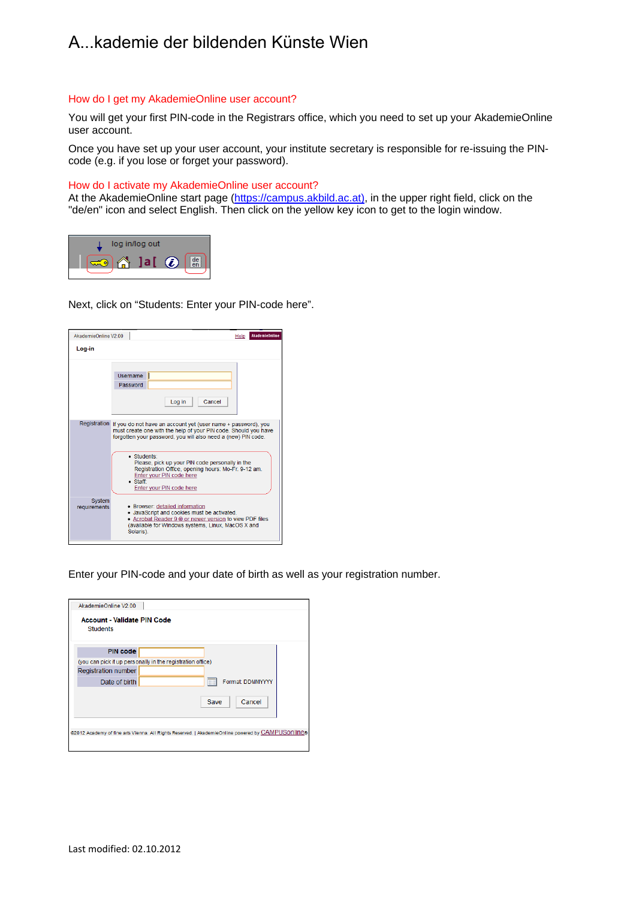# A...kademie der bildenden Künste Wien

#### How do I get my AkademieOnline user account?

You will get your first PIN-code in the Registrars office, which you need to set up your AkademieOnline user account.

Once you have set up your user account, your institute secretary is responsible for re-issuing the PINcode (e.g. if you lose or forget your password).

#### How do I activate my AkademieOnline user account?

At the AkademieOnline start page (https://campus.akbild.ac.at), in the upper right field, click on the "de/en" icon and select English. Then click on the yellow key icon to get to the login window.



Next, click on "Students: Enter your PIN-code here".

| AkademieOnline V2.00   |                                                                                                                                                                                                                                                                                                                                                                                                                     | Help | <b>AkademieOnline</b> |  |  |  |
|------------------------|---------------------------------------------------------------------------------------------------------------------------------------------------------------------------------------------------------------------------------------------------------------------------------------------------------------------------------------------------------------------------------------------------------------------|------|-----------------------|--|--|--|
| Log in                 |                                                                                                                                                                                                                                                                                                                                                                                                                     |      |                       |  |  |  |
|                        | Username<br>Password<br>Cancel<br>Log in                                                                                                                                                                                                                                                                                                                                                                            |      |                       |  |  |  |
|                        | Registration If you do not have an account yet (user name + password), you<br>must create one with the help of your PIN code. Should you have<br>forgotten your password, you will also need a (new) PIN code.<br>· Students:<br>Please, pick up your PIN code personally in the<br>Registration Office, opening hours: Mo-Fr. 9-12 am.<br>Enter your PIN code here<br>$\bullet$ Staff:<br>Enter your PIN code here |      |                       |  |  |  |
| System<br>requirements | • Browser: detailed information<br>• JavaScript and cookies must be activated.<br>• Acrobat Reader 9 ® or newer version to view PDF files<br>(available for Windows systems, Linux, MacOS X and<br>Solaris).                                                                                                                                                                                                        |      |                       |  |  |  |

Enter your PIN-code and your date of birth as well as your registration number.

| AkademieOnline V2.00                                                                              |  |  |  |  |  |
|---------------------------------------------------------------------------------------------------|--|--|--|--|--|
| Account - Validate PIN Code<br><b>Students</b>                                                    |  |  |  |  |  |
| <b>PIN code</b>                                                                                   |  |  |  |  |  |
| (you can pick it up personally in the registration office)                                        |  |  |  |  |  |
| <b>Registration number</b>                                                                        |  |  |  |  |  |
| Format: DDMMYYYY<br>Date of birth<br><b>HH</b>                                                    |  |  |  |  |  |
| Cancel<br>Save                                                                                    |  |  |  |  |  |
| @2012 Academy of fine arts Vienna. All Rights Reserved.   AkademieOnline powered by CAMPUSONIINe® |  |  |  |  |  |